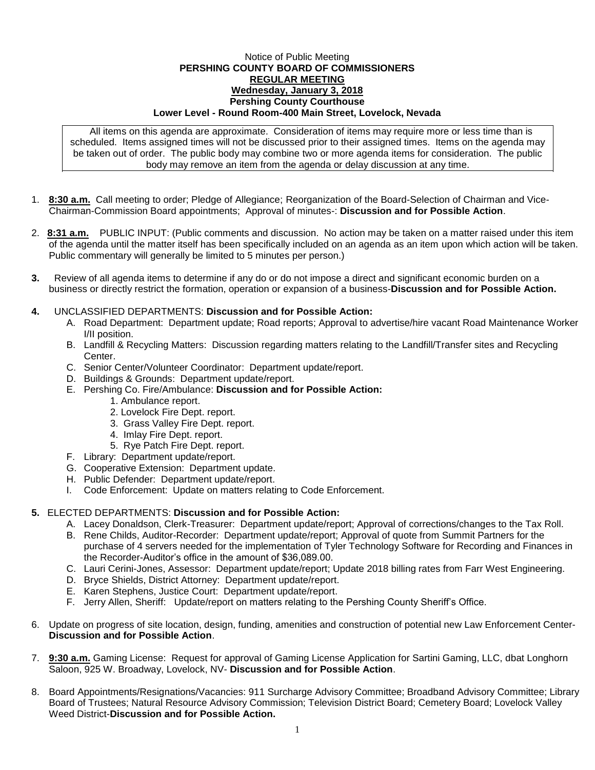## Notice of Public Meeting **PERSHING COUNTY BOARD OF COMMISSIONERS REGULAR MEETING Wednesday, January 3, 2018 Pershing County Courthouse Lower Level - Round Room-400 Main Street, Lovelock, Nevada**

All items on this agenda are approximate. Consideration of items may require more or less time than is scheduled. Items assigned times will not be discussed prior to their assigned times. Items on the agenda may be taken out of order. The public body may combine two or more agenda items for consideration. The public body may remove an item from the agenda or delay discussion at any time.

- 1. **8:30 a.m.** Call meeting to order; Pledge of Allegiance; Reorganization of the Board-Selection of Chairman and Vice-Chairman-Commission Board appointments; Approval of minutes-: **Discussion and for Possible Action**.
- 2. **8:31 a.m.** PUBLIC INPUT: (Public comments and discussion. No action may be taken on a matter raised under this item of the agenda until the matter itself has been specifically included on an agenda as an item upon which action will be taken. Public commentary will generally be limited to 5 minutes per person.)
- **3.** Review of all agenda items to determine if any do or do not impose a direct and significant economic burden on a business or directly restrict the formation, operation or expansion of a business-**Discussion and for Possible Action.**
- **4.** UNCLASSIFIED DEPARTMENTS: **Discussion and for Possible Action:**
	- A. Road Department: Department update; Road reports; Approval to advertise/hire vacant Road Maintenance Worker I/II position.
	- B. Landfill & Recycling Matters: Discussion regarding matters relating to the Landfill/Transfer sites and Recycling Center.
	- C. Senior Center/Volunteer Coordinator: Department update/report.
	- D. Buildings & Grounds: Department update/report.
	- E. Pershing Co. Fire/Ambulance: **Discussion and for Possible Action:**
		- 1. Ambulance report.
		- 2. Lovelock Fire Dept. report.
		- 3. Grass Valley Fire Dept. report.
		- 4. Imlay Fire Dept. report.
		- 5. Rye Patch Fire Dept. report.
	- F. Library: Department update/report.
	- G. Cooperative Extension: Department update.
	- H. Public Defender: Department update/report.
	- I. Code Enforcement: Update on matters relating to Code Enforcement.

## **5.** ELECTED DEPARTMENTS: **Discussion and for Possible Action:**

A. Lacey Donaldson, Clerk-Treasurer: Department update/report; Approval of corrections/changes to the Tax Roll.

- B. Rene Childs, Auditor-Recorder: Department update/report; Approval of quote from Summit Partners for the purchase of 4 servers needed for the implementation of Tyler Technology Software for Recording and Finances in the Recorder-Auditor's office in the amount of \$36,089.00.
- C. Lauri Cerini-Jones, Assessor: Department update/report; Update 2018 billing rates from Farr West Engineering.
- D. Bryce Shields, District Attorney: Department update/report.
- E. Karen Stephens, Justice Court: Department update/report.
- F. Jerry Allen, Sheriff: Update/report on matters relating to the Pershing County Sheriff's Office.
- 6. Update on progress of site location, design, funding, amenities and construction of potential new Law Enforcement Center-**Discussion and for Possible Action**.
- 7. **9:30 a.m.** Gaming License: Request for approval of Gaming License Application for Sartini Gaming, LLC, dbat Longhorn Saloon, 925 W. Broadway, Lovelock, NV- **Discussion and for Possible Action**.
- 8. Board Appointments/Resignations/Vacancies: 911 Surcharge Advisory Committee; Broadband Advisory Committee; Library Board of Trustees; Natural Resource Advisory Commission; Television District Board; Cemetery Board; Lovelock Valley Weed District-**Discussion and for Possible Action.**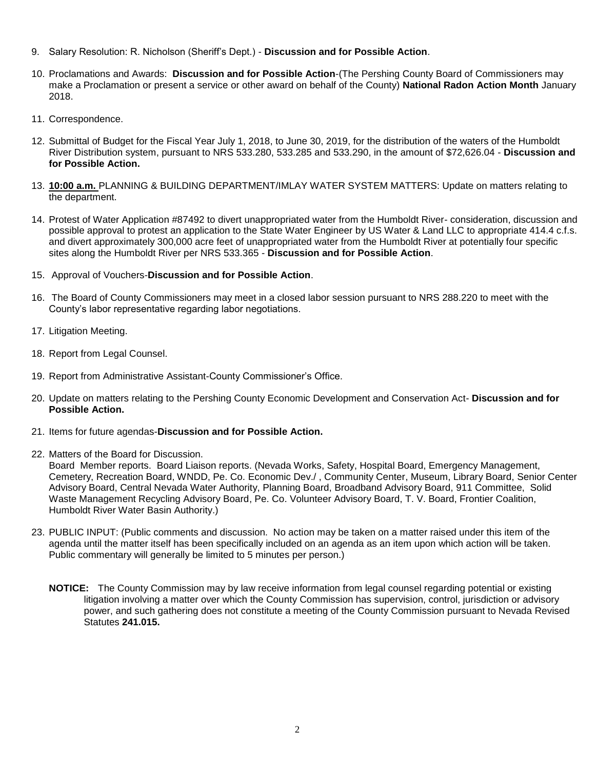- 9. Salary Resolution: R. Nicholson (Sheriff's Dept.) **Discussion and for Possible Action**.
- 10. Proclamations and Awards: **Discussion and for Possible Action**-(The Pershing County Board of Commissioners may make a Proclamation or present a service or other award on behalf of the County) **National Radon Action Month** January 2018.
- 11. Correspondence.
- 12. Submittal of Budget for the Fiscal Year July 1, 2018, to June 30, 2019, for the distribution of the waters of the Humboldt River Distribution system, pursuant to NRS 533.280, 533.285 and 533.290, in the amount of \$72,626.04 - **Discussion and for Possible Action.**
- 13. **10:00 a.m.** PLANNING & BUILDING DEPARTMENT/IMLAY WATER SYSTEM MATTERS: Update on matters relating to the department.
- 14. Protest of Water Application #87492 to divert unappropriated water from the Humboldt River- consideration, discussion and possible approval to protest an application to the State Water Engineer by US Water & Land LLC to appropriate 414.4 c.f.s. and divert approximately 300,000 acre feet of unappropriated water from the Humboldt River at potentially four specific sites along the Humboldt River per NRS 533.365 - **Discussion and for Possible Action**.
- 15. Approval of Vouchers-**Discussion and for Possible Action**.
- 16. The Board of County Commissioners may meet in a closed labor session pursuant to NRS 288.220 to meet with the County's labor representative regarding labor negotiations.
- 17. Litigation Meeting.
- 18. Report from Legal Counsel.
- 19. Report from Administrative Assistant-County Commissioner's Office.
- 20. Update on matters relating to the Pershing County Economic Development and Conservation Act- **Discussion and for Possible Action.**
- 21. Items for future agendas-**Discussion and for Possible Action.**
- 22. Matters of the Board for Discussion.

Board Member reports. Board Liaison reports. (Nevada Works, Safety, Hospital Board, Emergency Management, Cemetery, Recreation Board, WNDD, Pe. Co. Economic Dev./ , Community Center, Museum, Library Board, Senior Center Advisory Board, Central Nevada Water Authority, Planning Board, Broadband Advisory Board, 911 Committee, Solid Waste Management Recycling Advisory Board, Pe. Co. Volunteer Advisory Board, T. V. Board, Frontier Coalition, Humboldt River Water Basin Authority.)

- 23. PUBLIC INPUT: (Public comments and discussion. No action may be taken on a matter raised under this item of the agenda until the matter itself has been specifically included on an agenda as an item upon which action will be taken. Public commentary will generally be limited to 5 minutes per person.)
	- **NOTICE:** The County Commission may by law receive information from legal counsel regarding potential or existing litigation involving a matter over which the County Commission has supervision, control, jurisdiction or advisory power, and such gathering does not constitute a meeting of the County Commission pursuant to Nevada Revised Statutes **241.015.**